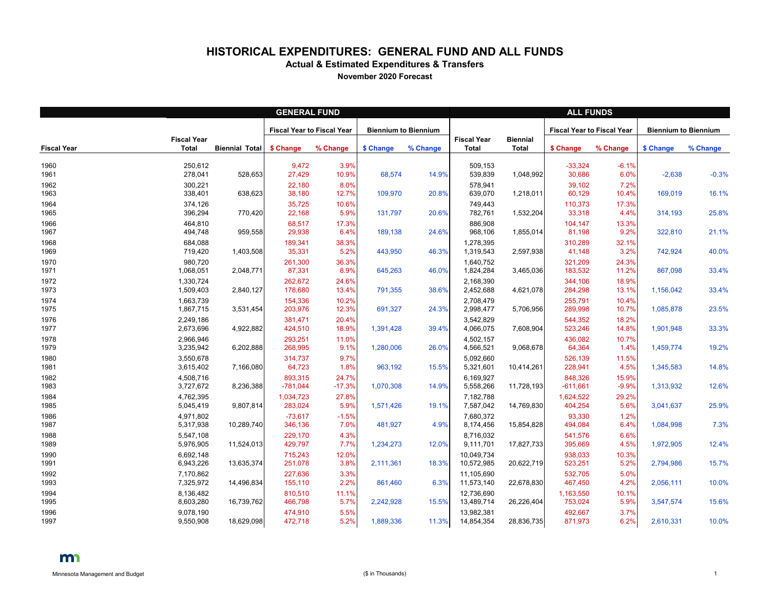## **HISTORICAL EXPENDITURES: GENERAL FUND AND ALL FUNDS**

**Actual & Estimated Expenditures & Transfers**

**November 2020 Forecast**

|                    | <b>GENERAL FUND</b>                |                       |                                   |                   |                             |          |                                    | <b>ALL FUNDS</b>                |                                   |                  |                             |          |  |  |
|--------------------|------------------------------------|-----------------------|-----------------------------------|-------------------|-----------------------------|----------|------------------------------------|---------------------------------|-----------------------------------|------------------|-----------------------------|----------|--|--|
|                    |                                    |                       | <b>Fiscal Year to Fiscal Year</b> |                   | <b>Biennium to Biennium</b> |          |                                    |                                 | <b>Fiscal Year to Fiscal Year</b> |                  | <b>Biennium to Biennium</b> |          |  |  |
| <b>Fiscal Year</b> | <b>Fiscal Year</b><br><b>Total</b> | <b>Biennial Total</b> | \$ Change                         | % Change          | \$ Change                   | % Change | <b>Fiscal Year</b><br><b>Total</b> | <b>Biennial</b><br><b>Total</b> | \$ Change                         | % Change         | \$ Change                   | % Change |  |  |
| 1960<br>1961       | 250,612<br>278,041                 | 528,653               | 9,472<br>27,429                   | 3.9%<br>10.9%     | 68,574                      | 14.9%    | 509,153<br>539,839                 | 1,048,992                       | $-33,324$<br>30,686               | $-6.1%$<br>6.0%  | $-2,638$                    | $-0.3%$  |  |  |
| 1962<br>1963       | 300,221<br>338,401                 | 638,623               | 22,180<br>38,180                  | 8.0%<br>12.7%     | 109,970                     | 20.8%    | 578,941<br>639,070                 | 1,218,011                       | 39,102<br>60,129                  | 7.2%<br>10.4%    | 169,019                     | 16.1%    |  |  |
| 1964<br>1965       | 374,126<br>396,294                 | 770,420               | 35,725<br>22,168                  | 10.6%<br>5.9%     | 131,797                     | 20.6%    | 749,443<br>782,761                 | 1,532,204                       | 110,373<br>33,318                 | 17.3%<br>4.4%    | 314,193                     | 25.8%    |  |  |
| 1966<br>1967       | 464,810<br>494,748                 | 959,558               | 68,517<br>29,938                  | 17.3%<br>6.4%     | 189,138                     | 24.6%    | 886,908<br>968,106                 | 1,855,014                       | 104,147<br>81,198                 | 13.3%<br>9.2%    | 322,810                     | 21.1%    |  |  |
| 1968<br>1969       | 684,088<br>719,420                 | 1,403,508             | 189,341<br>35,331                 | 38.3%<br>5.2%     | 443,950                     | 46.3%    | 1,278,395<br>1,319,543             | 2,597,938                       | 310,289<br>41,148                 | 32.1%<br>3.2%    | 742,924                     | 40.0%    |  |  |
| 1970<br>1971       | 980,720<br>1,068,051               | 2,048,771             | 261,300<br>87,331                 | 36.3%<br>8.9%     | 645,263                     | 46.0%    | 1,640,752<br>1,824,284             | 3,465,036                       | 321,209<br>183,532                | 24.3%<br>11.2%   | 867,098                     | 33.4%    |  |  |
| 1972<br>1973       | 1,330,724<br>1,509,403             | 2,840,127             | 262,672<br>178,680                | 24.6%<br>13.4%    | 791,355                     | 38.6%    | 2,168,390<br>2,452,688             | 4,621,078                       | 344,106<br>284,298                | 18.9%<br>13.1%   | 1,156,042                   | 33.4%    |  |  |
| 1974<br>1975       | 1,663,739<br>1,867,715             | 3,531,454             | 154,336<br>203,976                | 10.2%<br>12.3%    | 691,327                     | 24.3%    | 2,708,479<br>2,998,477             | 5,706,956                       | 255,791<br>289,998                | 10.4%<br>10.7%   | 1,085,878                   | 23.5%    |  |  |
| 1976<br>1977       | 2,249,186<br>2,673,696             | 4,922,882             | 381,471<br>424,510                | 20.4%<br>18.9%    | 1,391,428                   | 39.4%    | 3,542,829<br>4,066,075             | 7,608,904                       | 544,352<br>523,246                | 18.2%<br>14.8%   | 1,901,948                   | 33.3%    |  |  |
| 1978<br>1979       | 2,966,946<br>3,235,942             | 6,202,888             | 293,251<br>268,995                | 11.0%<br>9.1%     | 1,280,006                   | 26.0%    | 4,502,157<br>4,566,521             | 9,068,678                       | 436,082<br>64,364                 | 10.7%<br>1.4%    | 1,459,774                   | 19.2%    |  |  |
| 1980<br>1981       | 3,550,678<br>3,615,402             | 7,166,080             | 314,737<br>64,723                 | 9.7%<br>1.8%      | 963,192                     | 15.5%    | 5,092,660<br>5,321,601             | 10,414,261                      | 526,139<br>228,941                | 11.5%<br>4.5%    | 1,345,583                   | 14.8%    |  |  |
| 1982<br>1983       | 4,508,716<br>3,727,672             | 8,236,388             | 893,315<br>$-781,044$             | 24.7%<br>$-17.3%$ | 1,070,308                   | 14.9%    | 6,169,927<br>5,558,266             | 11,728,193                      | 848,326<br>$-611,661$             | 15.9%<br>$-9.9%$ | 1,313,932                   | 12.6%    |  |  |
| 1984<br>1985       | 4,762,395<br>5,045,419             | 9,807,814             | 1,034,723<br>283,024              | 27.8%<br>5.9%     | 1,571,426                   | 19.1%    | 7,182,788<br>7,587,042             | 14,769,830                      | 1,624,522<br>404,254              | 29.2%<br>5.6%    | 3,041,637                   | 25.9%    |  |  |
| 1986<br>1987       | 4,971,802<br>5,317,938             | 10,289,740            | $-73,617$<br>346,136              | $-1.5%$<br>7.0%   | 481,927                     | 4.9%     | 7,680,372<br>8,174,456             | 15,854,828                      | 93,330<br>494,084                 | 1.2%<br>6.4%     | 1,084,998                   | 7.3%     |  |  |
| 1988<br>1989       | 5,547,108<br>5,976,905             | 11,524,013            | 229,170<br>429,797                | 4.3%<br>7.7%      | 1,234,273                   | 12.0%    | 8,716,032<br>9,111,701             | 17,827,733                      | 541,576<br>395,669                | 6.6%<br>4.5%     | 1,972,905                   | 12.4%    |  |  |
| 1990<br>1991       | 6,692,148<br>6,943,226             | 13,635,374            | 715,243<br>251,078                | 12.0%<br>3.8%     | 2,111,361                   | 18.3%    | 10,049,734<br>10,572,985           | 20,622,719                      | 938,033<br>523,251                | 10.3%<br>5.2%    | 2,794,986                   | 15.7%    |  |  |
| 1992<br>1993       | 7,170,862<br>7,325,972             | 14,496,834            | 227,636<br>155,110                | 3.3%<br>2.2%      | 861,460                     | 6.3%     | 11,105,690<br>11,573,140           | 22,678,830                      | 532,705<br>467,450                | 5.0%<br>4.2%     | 2,056,111                   | 10.0%    |  |  |
| 1994<br>1995       | 8,136,482<br>8,603,280             | 16,739,762            | 810,510<br>466,798                | 11.1%<br>5.7%     | 2,242,928                   | 15.5%    | 12,736,690<br>13,489,714           | 26,226,404                      | 1,163,550<br>753,024              | 10.1%<br>5.9%    | 3,547,574                   | 15.6%    |  |  |
| 1996<br>1997       | 9,078,190<br>9,550,908             | 18,629,098            | 474,910<br>472,718                | 5.5%<br>5.2%      | 1,889,336                   | 11.3%    | 13,982,381<br>14,854,354           | 28,836,735                      | 492,667<br>871,973                | 3.7%<br>6.2%     | 2,610,331                   | 10.0%    |  |  |